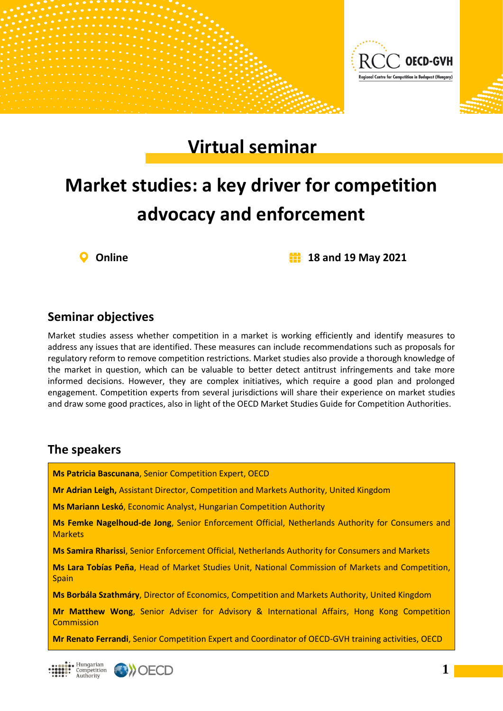

## **Virtual seminar**

# **Market studies: a key driver for competition advocacy and enforcement**



**Online 18 and 19 May 2021**

#### **Seminar objectives**

Market studies assess whether competition in a market is working efficiently and identify measures to address any issues that are identified. These measures can include recommendations such as proposals for regulatory reform to remove competition restrictions. Market studies also provide a thorough knowledge of the market in question, which can be valuable to better detect antitrust infringements and take more informed decisions. However, they are complex initiatives, which require a good plan and prolonged engagement. Competition experts from several jurisdictions will share their experience on market studies and draw some good practices, also in light of the OECD Market Studies Guide for Competition Authorities.

#### **The speakers**

**Ms Patricia Bascunana**, Senior Competition Expert, OECD

**Mr Adrian Leigh,** Assistant Director, Competition and Markets Authority, United Kingdom

**Ms Mariann Leskó**, Economic Analyst, Hungarian Competition Authority

**Ms Femke Nagelhoud-de Jong**, Senior Enforcement Official, Netherlands Authority for Consumers and **Markets** 

**Ms Samira Rharissi**, Senior Enforcement Official, Netherlands Authority for Consumers and Markets

**Ms Lara Tobías Peña**, Head of Market Studies Unit, National Commission of Markets and Competition, Spain

**Ms Borbála Szathmáry**, Director of Economics, Competition and Markets Authority, United Kingdom

**Mr Matthew Wong**, Senior Adviser for Advisory & International Affairs, Hong Kong Competition **Commission** 

**Mr Renato Ferrandi**, Senior Competition Expert and Coordinator of OECD-GVH training activities, OECD

Hungarian Competition<br>Authority

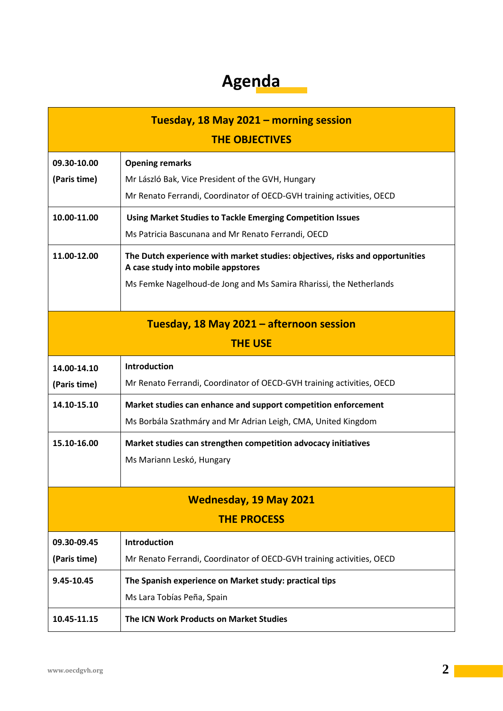### **Agenda**

| Tuesday, 18 May 2021 - morning session   |                                                                                                                     |  |
|------------------------------------------|---------------------------------------------------------------------------------------------------------------------|--|
| <b>THE OBJECTIVES</b>                    |                                                                                                                     |  |
| 09.30-10.00                              | <b>Opening remarks</b>                                                                                              |  |
| (Paris time)                             | Mr László Bak, Vice President of the GVH, Hungary                                                                   |  |
|                                          | Mr Renato Ferrandi, Coordinator of OECD-GVH training activities, OECD                                               |  |
| 10.00-11.00                              | <b>Using Market Studies to Tackle Emerging Competition Issues</b>                                                   |  |
|                                          | Ms Patricia Bascunana and Mr Renato Ferrandi, OECD                                                                  |  |
| 11.00-12.00                              | The Dutch experience with market studies: objectives, risks and opportunities<br>A case study into mobile appstores |  |
|                                          | Ms Femke Nagelhoud-de Jong and Ms Samira Rharissi, the Netherlands                                                  |  |
| Tuesday, 18 May 2021 - afternoon session |                                                                                                                     |  |
| <b>THE USE</b>                           |                                                                                                                     |  |
| 14.00-14.10                              | <b>Introduction</b>                                                                                                 |  |
| (Paris time)                             | Mr Renato Ferrandi, Coordinator of OECD-GVH training activities, OECD                                               |  |
| 14.10-15.10                              | Market studies can enhance and support competition enforcement                                                      |  |
|                                          | Ms Borbála Szathmáry and Mr Adrian Leigh, CMA, United Kingdom                                                       |  |
| 15.10-16.00                              | Market studies can strengthen competition advocacy initiatives                                                      |  |
|                                          | Ms Mariann Leskó, Hungary                                                                                           |  |
|                                          |                                                                                                                     |  |
| <b>Wednesday, 19 May 2021</b>            |                                                                                                                     |  |
| <b>THE PROCESS</b>                       |                                                                                                                     |  |
| 09.30-09.45                              | Introduction                                                                                                        |  |
| (Paris time)                             | Mr Renato Ferrandi, Coordinator of OECD-GVH training activities, OECD                                               |  |
| 9.45-10.45                               | The Spanish experience on Market study: practical tips                                                              |  |
|                                          | Ms Lara Tobías Peña, Spain                                                                                          |  |
| 10.45-11.15                              | The ICN Work Products on Market Studies                                                                             |  |